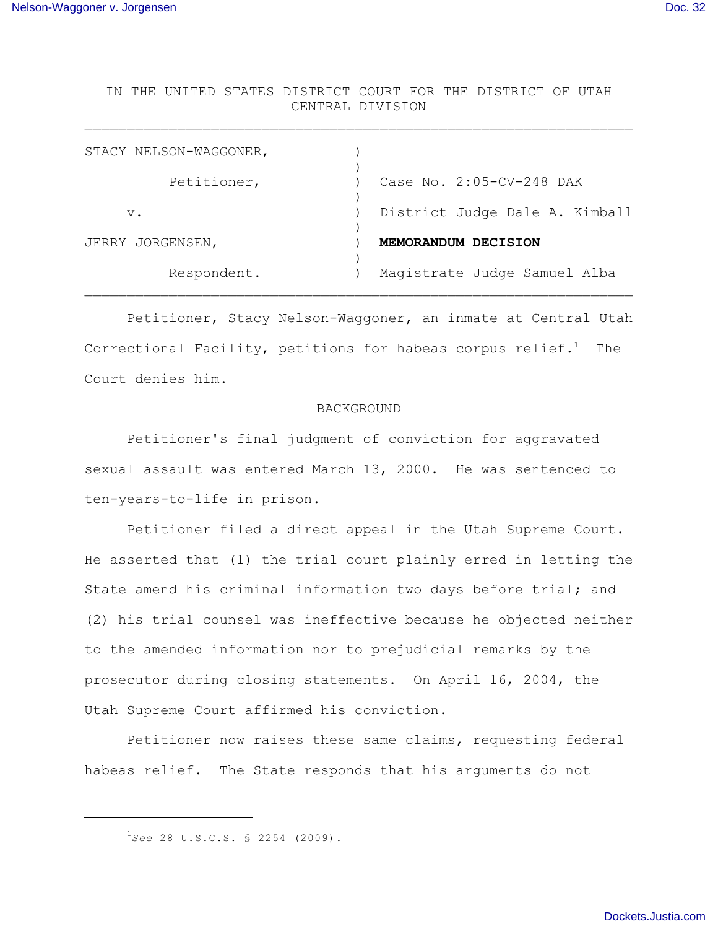IN THE UNITED STATES DISTRICT COURT FOR THE DISTRICT OF UTAH CENTRAL DIVISION

 $\mathcal{L}_\text{max} = \mathcal{L}_\text{max} = \mathcal{L}_\text{max} = \mathcal{L}_\text{max} = \mathcal{L}_\text{max} = \mathcal{L}_\text{max} = \mathcal{L}_\text{max} = \mathcal{L}_\text{max} = \mathcal{L}_\text{max} = \mathcal{L}_\text{max} = \mathcal{L}_\text{max} = \mathcal{L}_\text{max} = \mathcal{L}_\text{max} = \mathcal{L}_\text{max} = \mathcal{L}_\text{max} = \mathcal{L}_\text{max} = \mathcal{L}_\text{max} = \mathcal{L}_\text{max} = \mathcal{$ 

| STACY NELSON-WAGGONER, |                                |
|------------------------|--------------------------------|
| Petitioner,            | Case No. 2:05-CV-248 DAK       |
| $V$ .                  | District Judge Dale A. Kimball |
| JERRY JORGENSEN,       | MEMORANDUM DECISION            |
| Respondent.            | Magistrate Judge Samuel Alba   |
|                        |                                |

Petitioner, Stacy Nelson-Waggoner, an inmate at Central Utah Correctional Facility, petitions for habeas corpus relief.<sup>1</sup> The Court denies him.

#### BACKGROUND

Petitioner's final judgment of conviction for aggravated sexual assault was entered March 13, 2000. He was sentenced to ten-years-to-life in prison.

Petitioner filed a direct appeal in the Utah Supreme Court. He asserted that (1) the trial court plainly erred in letting the State amend his criminal information two days before trial; and (2) his trial counsel was ineffective because he objected neither to the amended information nor to prejudicial remarks by the prosecutor during closing statements. On April 16, 2004, the Utah Supreme Court affirmed his conviction.

Petitioner now raises these same claims, requesting federal habeas relief. The State responds that his arguments do not

 $^{1}$ See 28 U.S.C.S. § 2254 (2009).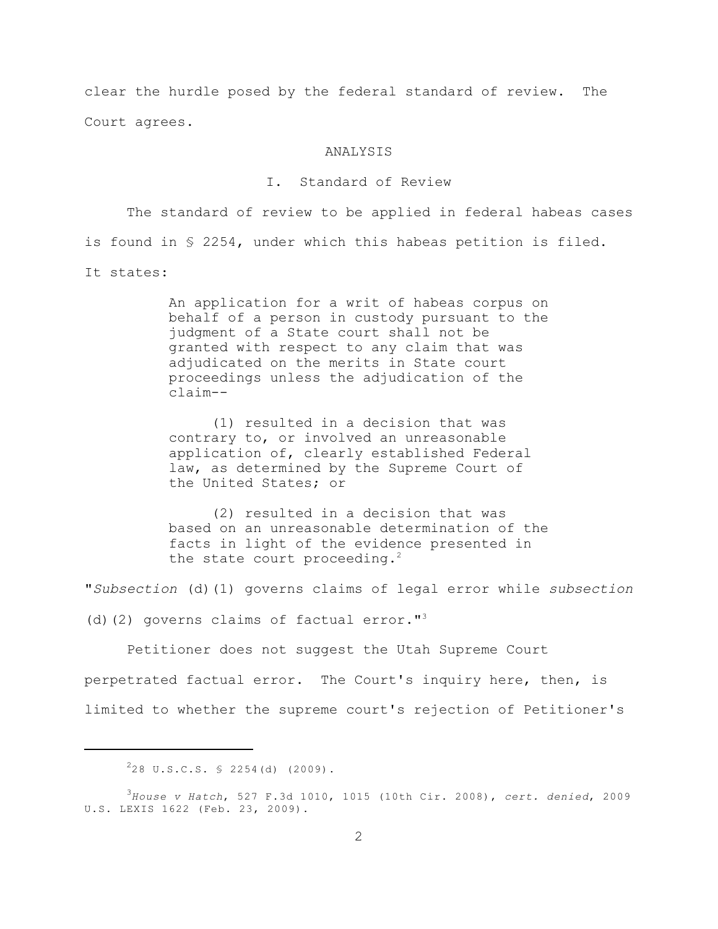clear the hurdle posed by the federal standard of review. The Court agrees.

### ANALYSIS

## I. Standard of Review

The standard of review to be applied in federal habeas cases is found in § 2254, under which this habeas petition is filed. It states:

> An application for a writ of habeas corpus on behalf of a person in custody pursuant to the judgment of a State court shall not be granted with respect to any claim that was adjudicated on the merits in State court proceedings unless the adjudication of the claim--

(1) resulted in a decision that was contrary to, or involved an unreasonable application of, clearly established Federal law, as determined by the Supreme Court of the United States; or

(2) resulted in a decision that was based on an unreasonable determination of the facts in light of the evidence presented in the state court proceeding.<sup>2</sup>

"*Subsection* (d)(1) governs claims of legal error while *subsection*

(d)(2) governs claims of factual error."<sup>3</sup>

Petitioner does not suggest the Utah Supreme Court perpetrated factual error. The Court's inquiry here, then, is limited to whether the supreme court's rejection of Petitioner's

 $228 \text{ U.S.C.S. }$  2254(d) (2009).

*House v Hatch*, 527 F.3d 1010, 1015 (10th Cir. 2008), *cert. denied*, 2009 <sup>3</sup> U.S. LEXIS 1622 (Feb. 23, 2009).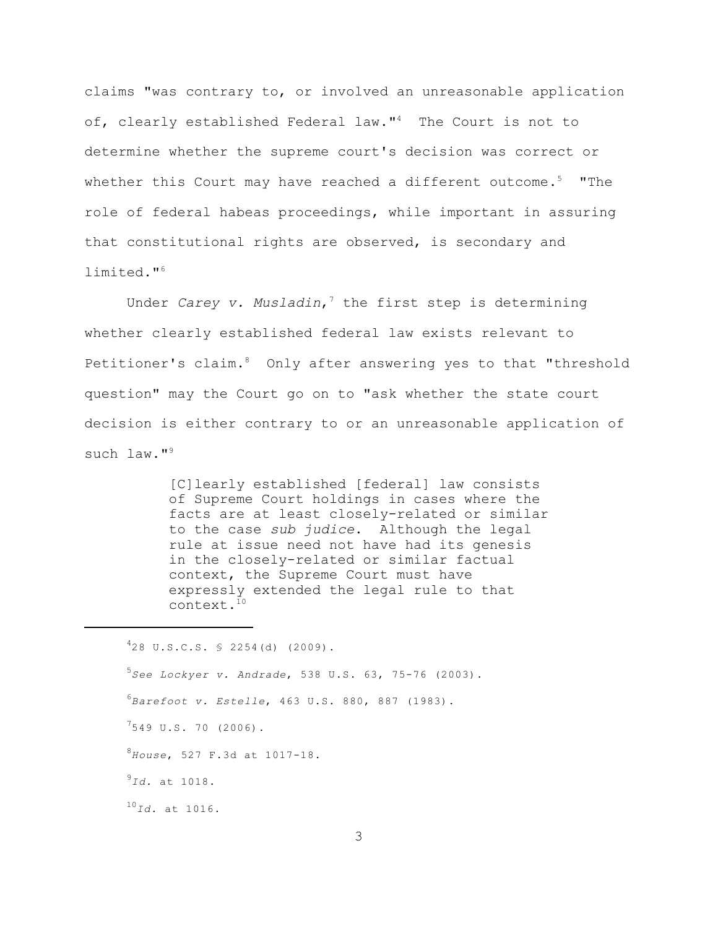claims "was contrary to, or involved an unreasonable application of, clearly established Federal law."<sup>4</sup> The Court is not to determine whether the supreme court's decision was correct or whether this Court may have reached a different outcome.<sup>5</sup> "The role of federal habeas proceedings, while important in assuring that constitutional rights are observed, is secondary and limited."<sup>6</sup>

Under *Carey v. Musladin*,<sup>7</sup> the first step is determining whether clearly established federal law exists relevant to Petitioner's claim.<sup>8</sup> Only after answering yes to that "threshold question" may the Court go on to "ask whether the state court decision is either contrary to or an unreasonable application of such law."<sup>9</sup>

> [C]learly established [federal] law consists of Supreme Court holdings in cases where the facts are at least closely-related or similar to the case *sub judice*. Although the legal rule at issue need not have had its genesis in the closely-related or similar factual context, the Supreme Court must have expressly extended the legal rule to that context.10

 $428$  U.S.C.S. § 2254(d) (2009). <sup>5</sup>See Lockyer v. Andrade, 538 U.S. 63, 75-76 (2003). *Barefoot v. Estelle*, 463 U.S. 880, 887 (1983). <sup>6</sup>  $^{7}$ 549 U.S. 70 (2006). *House*, 527 F.3d at 1017-18. <sup>8</sup>  $^{9}$ *Id.* at 1018. <sup>10</sup>*Id.* at 1016.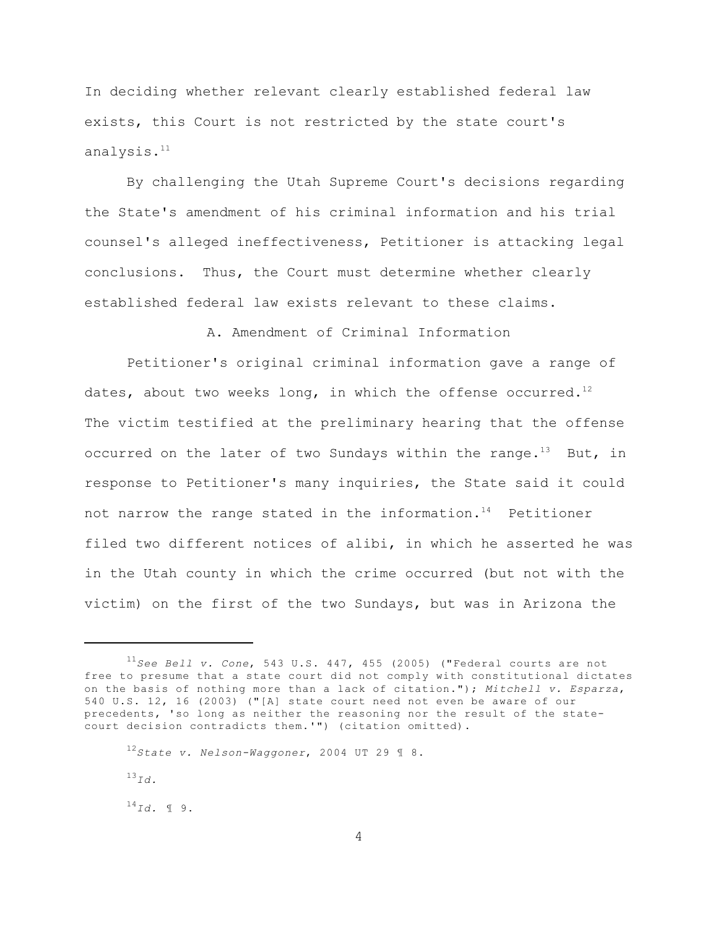In deciding whether relevant clearly established federal law exists, this Court is not restricted by the state court's analysis.<sup>11</sup>

By challenging the Utah Supreme Court's decisions regarding the State's amendment of his criminal information and his trial counsel's alleged ineffectiveness, Petitioner is attacking legal conclusions. Thus, the Court must determine whether clearly established federal law exists relevant to these claims.

A. Amendment of Criminal Information

Petitioner's original criminal information gave a range of dates, about two weeks long, in which the offense occurred.<sup>12</sup> The victim testified at the preliminary hearing that the offense occurred on the later of two Sundays within the range.<sup>13</sup> But, in response to Petitioner's many inquiries, the State said it could not narrow the range stated in the information.<sup>14</sup> Petitioner filed two different notices of alibi, in which he asserted he was in the Utah county in which the crime occurred (but not with the victim) on the first of the two Sundays, but was in Arizona the

*State v. Nelson-Waggoner*, 2004 UT 29 ¶ 8. <sup>12</sup>

 $^{13}$  Td.

 $^{14}Id.$  1 9.

 $^{11}$ See Bell v. Cone, 543 U.S. 447, 455 (2005) ("Federal courts are not free to presume that a state court did not comply with constitutional dictates on the basis of nothing more than a lack of citation."); *Mitchell v. Esparza*, 540 U.S. 12, 16 (2003) ("[A] state court need not even be aware of our precedents, 'so long as neither the reasoning nor the result of the statecourt decision contradicts them.'") (citation omitted).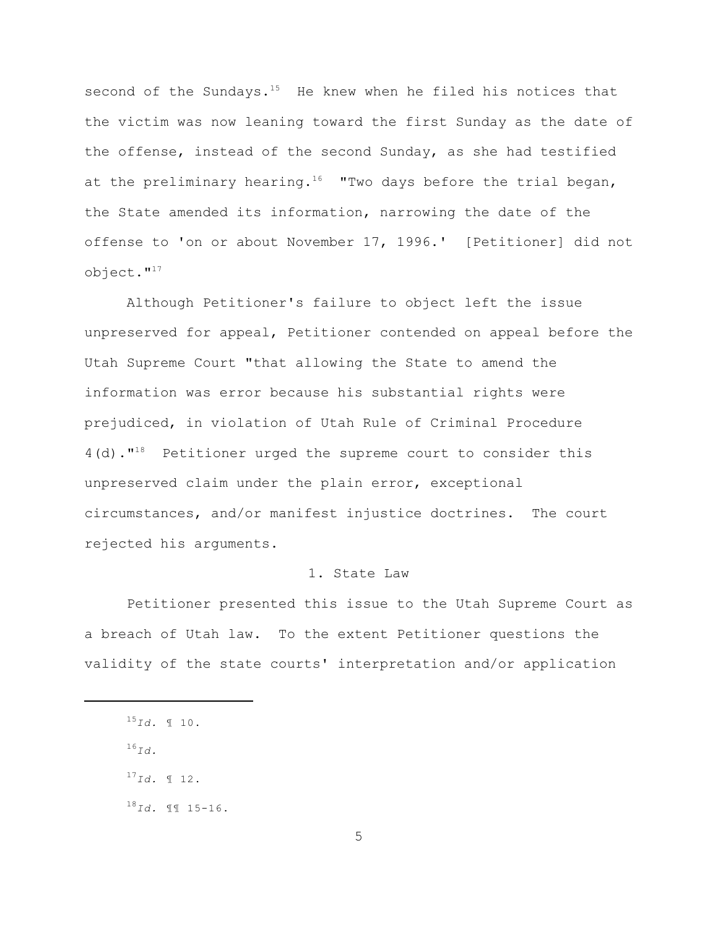second of the Sundays.<sup>15</sup> He knew when he filed his notices that the victim was now leaning toward the first Sunday as the date of the offense, instead of the second Sunday, as she had testified at the preliminary hearing.<sup>16</sup> "Two days before the trial began, the State amended its information, narrowing the date of the offense to 'on or about November 17, 1996.' [Petitioner] did not object."<sup>17</sup>

Although Petitioner's failure to object left the issue unpreserved for appeal, Petitioner contended on appeal before the Utah Supreme Court "that allowing the State to amend the information was error because his substantial rights were prejudiced, in violation of Utah Rule of Criminal Procedure  $4(d)$ ."<sup>18</sup> Petitioner urged the supreme court to consider this unpreserved claim under the plain error, exceptional circumstances, and/or manifest injustice doctrines. The court rejected his arguments.

# 1. State Law

Petitioner presented this issue to the Utah Supreme Court as a breach of Utah law. To the extent Petitioner questions the validity of the state courts' interpretation and/or application

- $^{16}Id.$
- $^{17}$ *Id.* ¶ 12.
- $^{18}Id.$  II 15-16.

 $^{15}Id.$  10.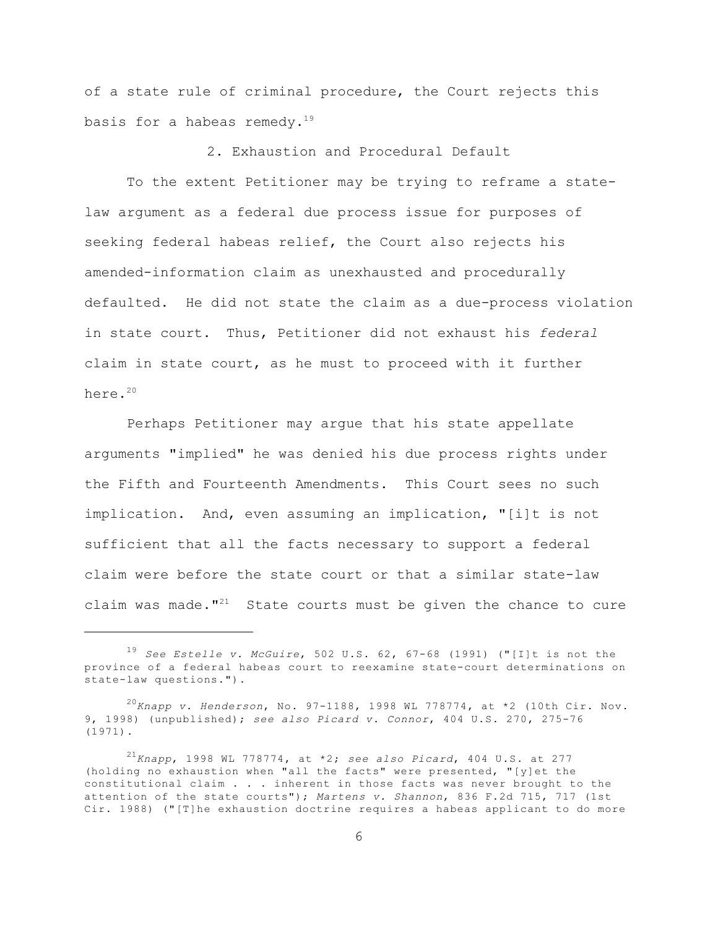of a state rule of criminal procedure, the Court rejects this basis for a habeas remedy.<sup>19</sup>

2. Exhaustion and Procedural Default

To the extent Petitioner may be trying to reframe a statelaw argument as a federal due process issue for purposes of seeking federal habeas relief, the Court also rejects his amended-information claim as unexhausted and procedurally defaulted. He did not state the claim as a due-process violation in state court. Thus, Petitioner did not exhaust his *federal* claim in state court, as he must to proceed with it further here.<sup>20</sup>

Perhaps Petitioner may argue that his state appellate arguments "implied" he was denied his due process rights under the Fifth and Fourteenth Amendments. This Court sees no such implication. And, even assuming an implication, "[i]t is not sufficient that all the facts necessary to support a federal claim were before the state court or that a similar state-law claim was made."<sup>21</sup> State courts must be given the chance to cure

<sup>&</sup>lt;sup>19</sup> See Estelle v. McGuire, 502 U.S. 62, 67-68 (1991) ("[I]t is not the province of a federal habeas court to reexamine state-court determinations on state-law questions.").

<sup>&</sup>lt;sup>20</sup> Knapp v. Henderson, No. 97-1188, 1998 WL 778774, at \*2 (10th Cir. Nov. 9, 1998) (unpublished); *see also Picard v. Connor*, 404 U.S. 270, 275-76 (1971).

<sup>&</sup>lt;sup>21</sup> Knapp, 1998 WL 778774, at \*2; see also Picard, 404 U.S. at 277 (holding no exhaustion when "all the facts" were presented, "[y]et the constitutional claim . . . inherent in those facts was never brought to the attention of the state courts"); *Martens v. Shannon*, 836 F.2d 715, 717 (1st Cir. 1988) ("[T]he exhaustion doctrine requires a habeas applicant to do more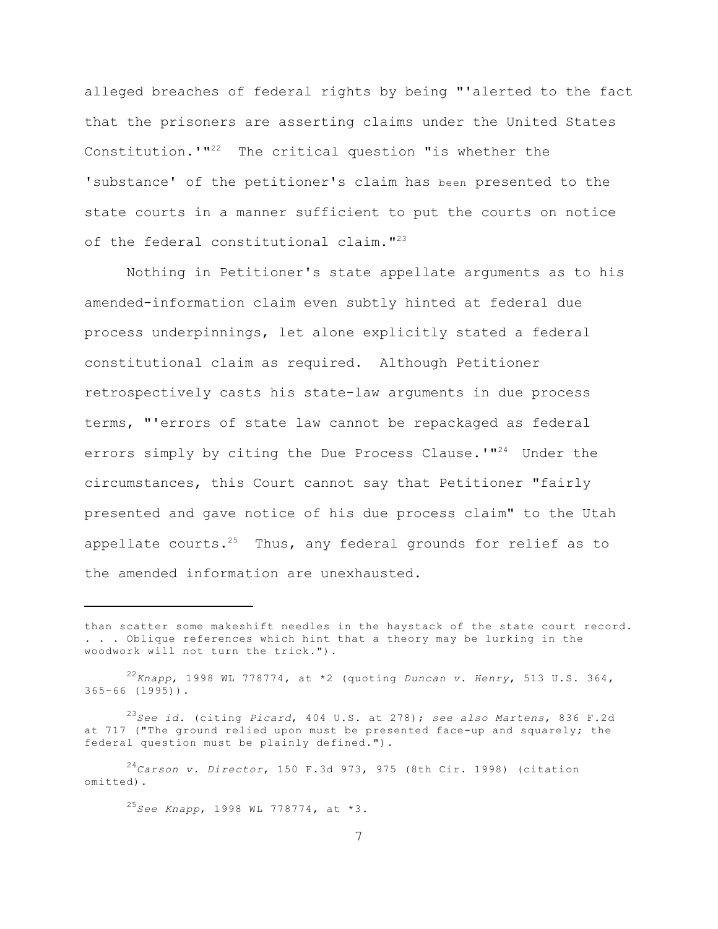alleged breaches of federal rights by being "'alerted to the fact that the prisoners are asserting claims under the United States Constitution.' $1^{12}$  The critical question "is whether the 'substance' of the petitioner's claim has been presented to the state courts in a manner sufficient to put the courts on notice of the federal constitutional claim."<sup>23</sup>

Nothing in Petitioner's state appellate arguments as to his amended-information claim even subtly hinted at federal due process underpinnings, let alone explicitly stated a federal constitutional claim as required. Although Petitioner retrospectively casts his state-law arguments in due process terms, "'errors of state law cannot be repackaged as federal errors simply by citing the Due Process Clause.' $1^{42}$  Under the circumstances, this Court cannot say that Petitioner "fairly presented and gave notice of his due process claim" to the Utah appellate courts.<sup>25</sup> Thus, any federal grounds for relief as to the amended information are unexhausted.

<sup>25</sup>See Knapp, 1998 WL 778774, at \*3.

than scatter some makeshift needles in the haystack of the state court record. . . . Oblique references which hint that a theory may be lurking in the woodwork will not turn the trick.").

*Knapp*, 1998 WL 778774, at \*2 (quoting *Duncan v. Henry*, 513 U.S. 364, <sup>22</sup> 365-66 (1995)).

<sup>&</sup>lt;sup>23</sup>See id. (citing *Picard*, 404 U.S. at 278); see also Martens, 836 F.2d at 717 ("The ground relied upon must be presented face-up and squarely; the federal question must be plainly defined.").

<sup>&</sup>lt;sup>24</sup>Carson v. Director, 150 F.3d 973, 975 (8th Cir. 1998) (citation omitted).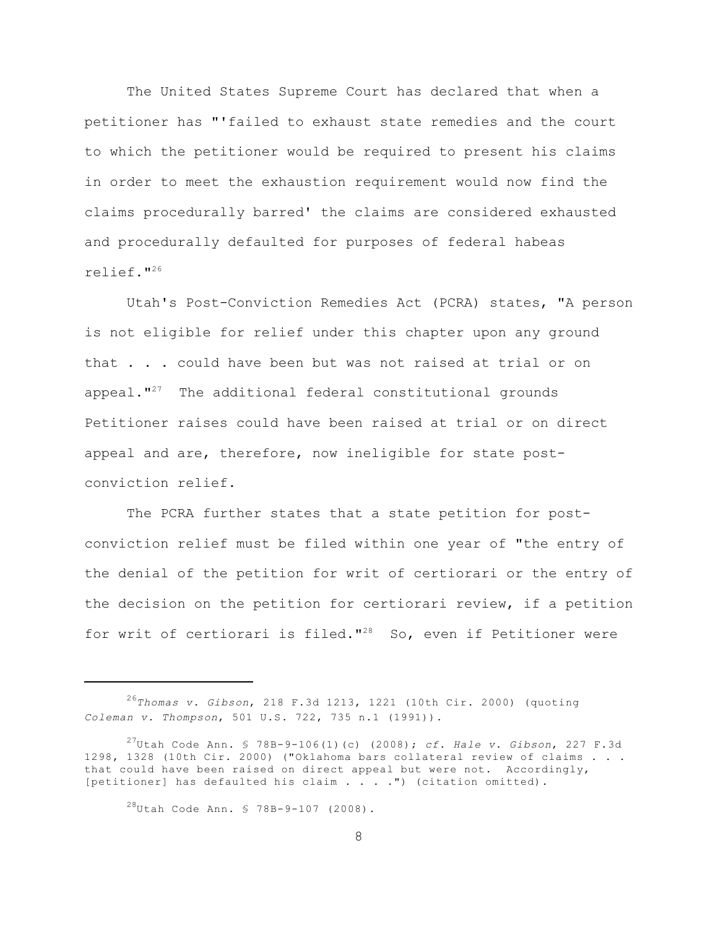The United States Supreme Court has declared that when a petitioner has "'failed to exhaust state remedies and the court to which the petitioner would be required to present his claims in order to meet the exhaustion requirement would now find the claims procedurally barred' the claims are considered exhausted and procedurally defaulted for purposes of federal habeas relief."<sup>26</sup>

Utah's Post-Conviction Remedies Act (PCRA) states, "A person is not eligible for relief under this chapter upon any ground that . . . could have been but was not raised at trial or on appeal. $"''$  The additional federal constitutional grounds Petitioner raises could have been raised at trial or on direct appeal and are, therefore, now ineligible for state postconviction relief.

The PCRA further states that a state petition for postconviction relief must be filed within one year of "the entry of the denial of the petition for writ of certiorari or the entry of the decision on the petition for certiorari review, if a petition for writ of certiorari is filed." $28$  So, even if Petitioner were

 $^{28}$ Utah Code Ann. § 78B-9-107 (2008).

*Thomas v. Gibson*, 218 F.3d 1213, 1221 (10th Cir. 2000) (quoting <sup>26</sup> *Coleman v. Thompson*, 501 U.S. 722, 735 n.1 (1991)).

Utah Code Ann. § 78B-9-106(1)(c) (2008); *cf. Hale v. Gibson*, 227 F.3d <sup>27</sup> 1298, 1328 (10th Cir. 2000) ("Oklahoma bars collateral review of claims . . . that could have been raised on direct appeal but were not. Accordingly, [petitioner] has defaulted his claim . . . . ") (citation omitted).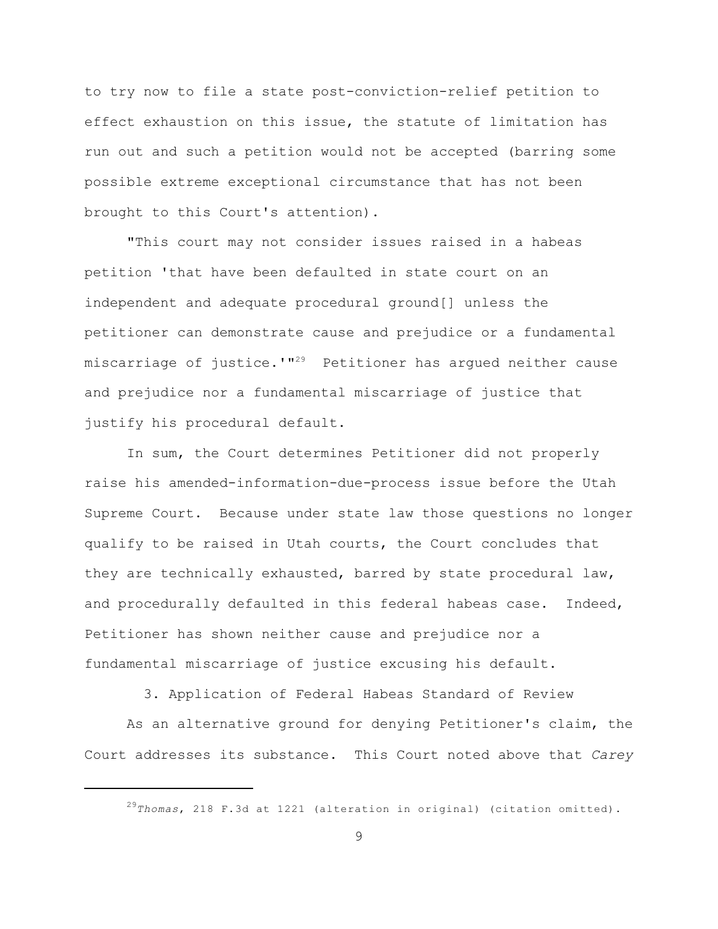to try now to file a state post-conviction-relief petition to effect exhaustion on this issue, the statute of limitation has run out and such a petition would not be accepted (barring some possible extreme exceptional circumstance that has not been brought to this Court's attention).

"This court may not consider issues raised in a habeas petition 'that have been defaulted in state court on an independent and adequate procedural ground[] unless the petitioner can demonstrate cause and prejudice or a fundamental miscarriage of justice.'"<sup>29</sup> Petitioner has arqued neither cause and prejudice nor a fundamental miscarriage of justice that justify his procedural default.

In sum, the Court determines Petitioner did not properly raise his amended-information-due-process issue before the Utah Supreme Court. Because under state law those questions no longer qualify to be raised in Utah courts, the Court concludes that they are technically exhausted, barred by state procedural law, and procedurally defaulted in this federal habeas case. Indeed, Petitioner has shown neither cause and prejudice nor a fundamental miscarriage of justice excusing his default.

3. Application of Federal Habeas Standard of Review

As an alternative ground for denying Petitioner's claim, the Court addresses its substance. This Court noted above that *Carey*

<sup>&</sup>lt;sup>29</sup>Thomas, 218 F.3d at 1221 (alteration in original) (citation omitted).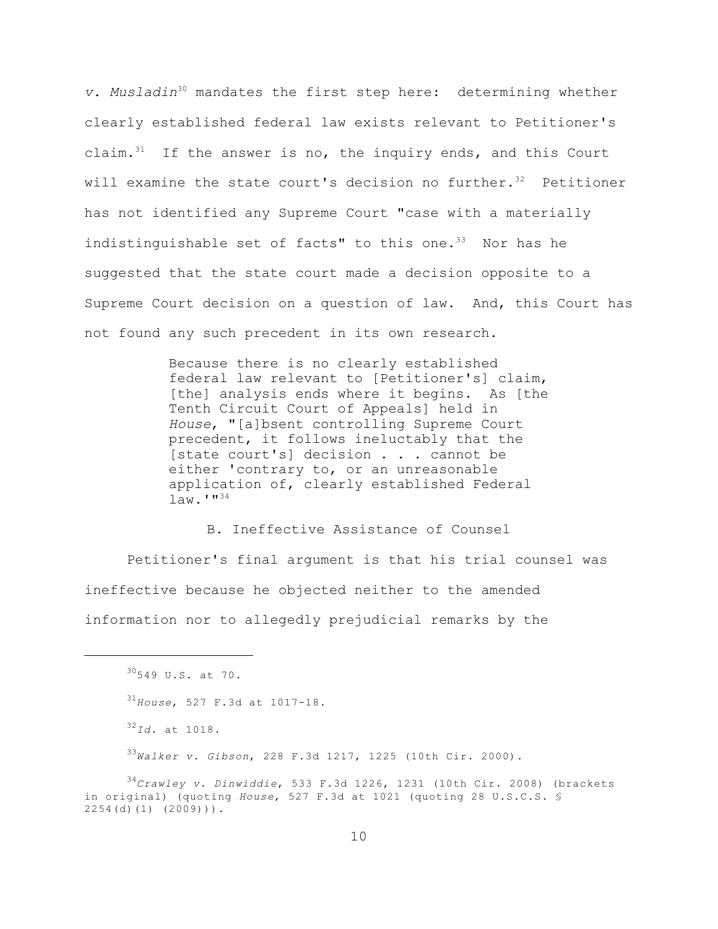*v. Musladin*<sup>30</sup> mandates the first step here: determining whether clearly established federal law exists relevant to Petitioner's claim. $31$  If the answer is no, the inquiry ends, and this Court will examine the state court's decision no further.<sup>32</sup> Petitioner has not identified any Supreme Court "case with a materially indistinguishable set of facts" to this one. $33$  Nor has he suggested that the state court made a decision opposite to a Supreme Court decision on a question of law. And, this Court has not found any such precedent in its own research.

> Because there is no clearly established federal law relevant to [Petitioner's] claim, [the] analysis ends where it begins. As [the Tenth Circuit Court of Appeals] held in *House*, "[a]bsent controlling Supreme Court precedent, it follows ineluctably that the [state court's] decision . . . cannot be either 'contrary to, or an unreasonable application of, clearly established Federal  $law.$ '"<sup>34</sup>

B. Ineffective Assistance of Counsel Petitioner's final argument is that his trial counsel was ineffective because he objected neither to the amended information nor to allegedly prejudicial remarks by the

*Walker v. Gibson*, 228 F.3d 1217, 1225 (10th Cir. 2000). <sup>33</sup>

<sup>34</sup>Crawley v. Dinwiddie, 533 F.3d 1226, 1231 (10th Cir. 2008) (brackets in original) (quoting *House*, 527 F.3d at 1021 (quoting 28 U.S.C.S. § 2254(d)(1) (2009))).

 $30549$  U.S. at 70. <sup>31</sup>House, 527 F.3d at 1017-18.  $32$ *Id.* at 1018.